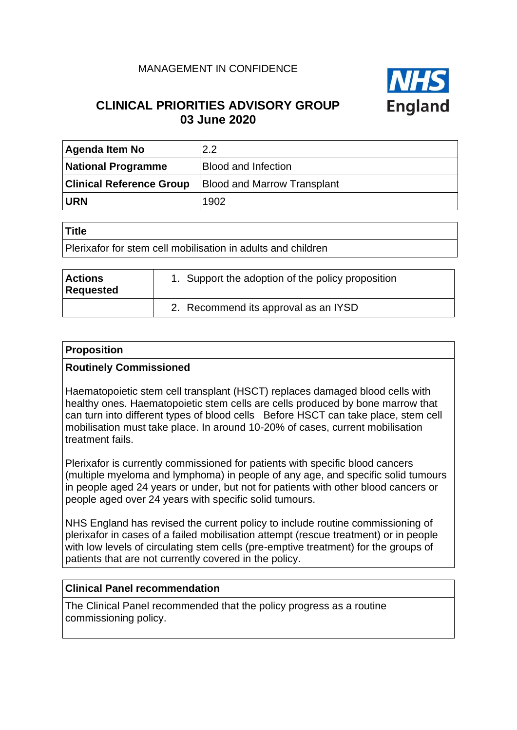## MANAGEMENT IN CONFIDENCE



## **CLINICAL PRIORITIES ADVISORY GROUP 03 June 2020**

| <b>Agenda Item No</b>           | 2.2                                |
|---------------------------------|------------------------------------|
| <b>National Programme</b>       | <b>Blood and Infection</b>         |
| <b>Clinical Reference Group</b> | <b>Blood and Marrow Transplant</b> |
| <b>URN</b>                      | 1902                               |

#### **Title**

Plerixafor for stem cell mobilisation in adults and children

| <b>Actions</b><br>Requested | 1. Support the adoption of the policy proposition |
|-----------------------------|---------------------------------------------------|
|                             | 2. Recommend its approval as an IYSD              |

### **Proposition**

### **Routinely Commissioned**

Haematopoietic stem cell transplant (HSCT) replaces damaged blood cells with healthy ones. Haematopoietic stem cells are cells produced by bone marrow that can turn into different types of blood cells Before HSCT can take place, stem cell mobilisation must take place. In around 10-20% of cases, current mobilisation treatment fails.

Plerixafor is currently commissioned for patients with specific blood cancers (multiple myeloma and lymphoma) in people of any age, and specific solid tumours in people aged 24 years or under, but not for patients with other blood cancers or people aged over 24 years with specific solid tumours.

NHS England has revised the current policy to include routine commissioning of plerixafor in cases of a failed mobilisation attempt (rescue treatment) or in people with low levels of circulating stem cells (pre-emptive treatment) for the groups of patients that are not currently covered in the policy.

### **Clinical Panel recommendation**

The Clinical Panel recommended that the policy progress as a routine commissioning policy.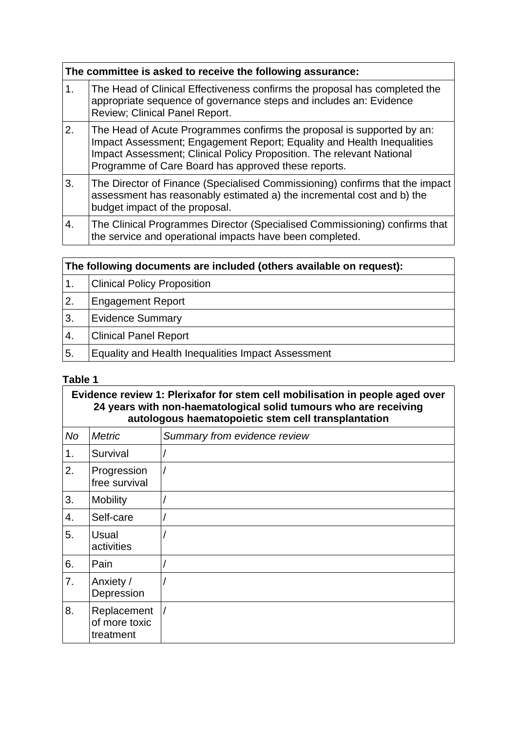|    | The committee is asked to receive the following assurance:                                                                                                                                                                                                                       |  |  |
|----|----------------------------------------------------------------------------------------------------------------------------------------------------------------------------------------------------------------------------------------------------------------------------------|--|--|
| 1. | The Head of Clinical Effectiveness confirms the proposal has completed the<br>appropriate sequence of governance steps and includes an: Evidence<br>Review; Clinical Panel Report.                                                                                               |  |  |
| 2. | The Head of Acute Programmes confirms the proposal is supported by an:<br>Impact Assessment; Engagement Report; Equality and Health Inequalities<br>Impact Assessment; Clinical Policy Proposition. The relevant National<br>Programme of Care Board has approved these reports. |  |  |
| 3. | The Director of Finance (Specialised Commissioning) confirms that the impact<br>assessment has reasonably estimated a) the incremental cost and b) the<br>budget impact of the proposal.                                                                                         |  |  |
| 4. | The Clinical Programmes Director (Specialised Commissioning) confirms that<br>the service and operational impacts have been completed.                                                                                                                                           |  |  |

| The following documents are included (others available on request): |                                                    |  |
|---------------------------------------------------------------------|----------------------------------------------------|--|
| 1.                                                                  | <b>Clinical Policy Proposition</b>                 |  |
| 2.                                                                  | <b>Engagement Report</b>                           |  |
| 3.                                                                  | <b>Evidence Summary</b>                            |  |
| $\overline{4}$ .                                                    | <b>Clinical Panel Report</b>                       |  |
| 5.                                                                  | Equality and Health Inequalities Impact Assessment |  |

## **Table 1**

**Evidence review 1: Plerixafor for stem cell mobilisation in people aged over 24 years with non-haematological solid tumours who are receiving autologous haematopoietic stem cell transplantation**

| No | <b>Metric</b>                             | Summary from evidence review |
|----|-------------------------------------------|------------------------------|
| 1. | Survival                                  |                              |
| 2. | Progression<br>free survival              |                              |
| 3. | <b>Mobility</b>                           |                              |
| 4. | Self-care                                 |                              |
| 5. | <b>Usual</b><br>activities                |                              |
| 6. | Pain                                      |                              |
| 7. | Anxiety /<br>Depression                   |                              |
| 8. | Replacement<br>of more toxic<br>treatment |                              |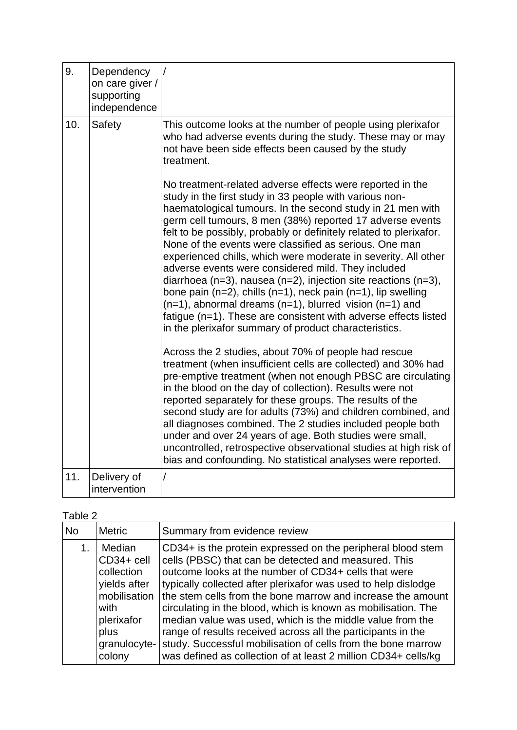| 9.  | Dependency<br>on care giver /<br>supporting<br>independence |                                                                                                                                                                                                                                                                                                                                                                                                                                                                                                                                                                                                                                                                                                                                                                                                                                                                                                                                                                                                                                                                                                                                                                                                                                                                                                                                                                                                                                                                                                                                                                                                                                                                                                     |
|-----|-------------------------------------------------------------|-----------------------------------------------------------------------------------------------------------------------------------------------------------------------------------------------------------------------------------------------------------------------------------------------------------------------------------------------------------------------------------------------------------------------------------------------------------------------------------------------------------------------------------------------------------------------------------------------------------------------------------------------------------------------------------------------------------------------------------------------------------------------------------------------------------------------------------------------------------------------------------------------------------------------------------------------------------------------------------------------------------------------------------------------------------------------------------------------------------------------------------------------------------------------------------------------------------------------------------------------------------------------------------------------------------------------------------------------------------------------------------------------------------------------------------------------------------------------------------------------------------------------------------------------------------------------------------------------------------------------------------------------------------------------------------------------------|
| 10. | Safety                                                      | This outcome looks at the number of people using plerixafor<br>who had adverse events during the study. These may or may<br>not have been side effects been caused by the study<br>treatment.<br>No treatment-related adverse effects were reported in the<br>study in the first study in 33 people with various non-<br>haematological tumours. In the second study in 21 men with<br>germ cell tumours, 8 men (38%) reported 17 adverse events<br>felt to be possibly, probably or definitely related to plerixafor.<br>None of the events were classified as serious. One man<br>experienced chills, which were moderate in severity. All other<br>adverse events were considered mild. They included<br>diarrhoea (n=3), nausea (n=2), injection site reactions (n=3),<br>bone pain ( $n=2$ ), chills ( $n=1$ ), neck pain ( $n=1$ ), lip swelling<br>$(n=1)$ , abnormal dreams $(n=1)$ , blurred vision $(n=1)$ and<br>fatigue (n=1). These are consistent with adverse effects listed<br>in the plerixafor summary of product characteristics.<br>Across the 2 studies, about 70% of people had rescue<br>treatment (when insufficient cells are collected) and 30% had<br>pre-emptive treatment (when not enough PBSC are circulating<br>in the blood on the day of collection). Results were not<br>reported separately for these groups. The results of the<br>second study are for adults (73%) and children combined, and<br>all diagnoses combined. The 2 studies included people both<br>under and over 24 years of age. Both studies were small,<br>uncontrolled, retrospective observational studies at high risk of<br>bias and confounding. No statistical analyses were reported. |
| 11. | Delivery of<br>intervention                                 |                                                                                                                                                                                                                                                                                                                                                                                                                                                                                                                                                                                                                                                                                                                                                                                                                                                                                                                                                                                                                                                                                                                                                                                                                                                                                                                                                                                                                                                                                                                                                                                                                                                                                                     |

# Table 2

| <b>Metric</b><br>Summary from evidence review<br><b>No</b><br>Median<br>CD34+ is the protein expressed on the peripheral blood stem<br>cells (PBSC) that can be detected and measured. This<br>CD34+ cell<br>outcome looks at the number of CD34+ cells that were<br>collection<br>yields after<br>typically collected after plerixafor was used to help dislodge<br>mobilisation<br>circulating in the blood, which is known as mobilisation. The<br>with<br>median value was used, which is the middle value from the<br>plerixafor<br>range of results received across all the participants in the<br>plus<br>study. Successful mobilisation of cells from the bone marrow<br>granulocyte-<br>colony<br>was defined as collection of at least 2 million CD34+ cells/kg |  |                                                             |
|---------------------------------------------------------------------------------------------------------------------------------------------------------------------------------------------------------------------------------------------------------------------------------------------------------------------------------------------------------------------------------------------------------------------------------------------------------------------------------------------------------------------------------------------------------------------------------------------------------------------------------------------------------------------------------------------------------------------------------------------------------------------------|--|-------------------------------------------------------------|
|                                                                                                                                                                                                                                                                                                                                                                                                                                                                                                                                                                                                                                                                                                                                                                           |  |                                                             |
|                                                                                                                                                                                                                                                                                                                                                                                                                                                                                                                                                                                                                                                                                                                                                                           |  | the stem cells from the bone marrow and increase the amount |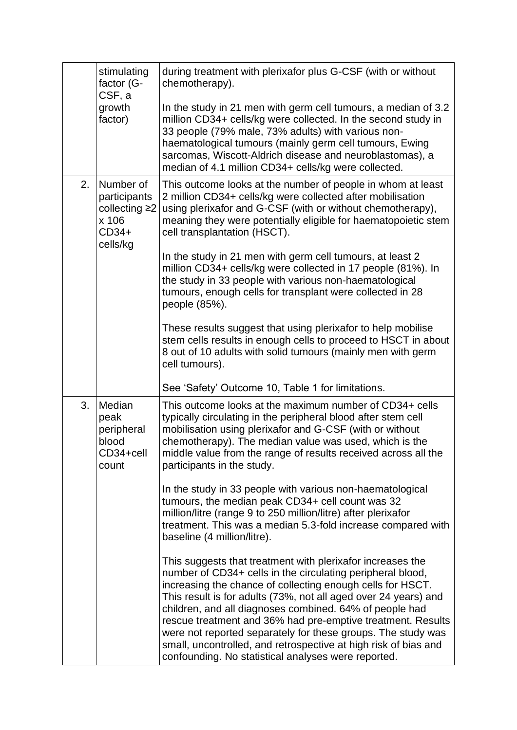|    | stimulating<br>factor (G-<br>CSF, a                                      | during treatment with plerixafor plus G-CSF (with or without<br>chemotherapy).                                                                                                                                                                                                                                                                                                                                                                                                                                                                                                |
|----|--------------------------------------------------------------------------|-------------------------------------------------------------------------------------------------------------------------------------------------------------------------------------------------------------------------------------------------------------------------------------------------------------------------------------------------------------------------------------------------------------------------------------------------------------------------------------------------------------------------------------------------------------------------------|
|    | growth<br>factor)                                                        | In the study in 21 men with germ cell tumours, a median of 3.2<br>million CD34+ cells/kg were collected. In the second study in<br>33 people (79% male, 73% adults) with various non-<br>haematological tumours (mainly germ cell tumours, Ewing<br>sarcomas, Wiscott-Aldrich disease and neuroblastomas), a<br>median of 4.1 million CD34+ cells/kg were collected.                                                                                                                                                                                                          |
| 2. | Number of<br>participants<br>collecting ≥2<br>x 106<br>CD34+<br>cells/kg | This outcome looks at the number of people in whom at least<br>2 million CD34+ cells/kg were collected after mobilisation<br>using plerixafor and G-CSF (with or without chemotherapy),<br>meaning they were potentially eligible for haematopoietic stem<br>cell transplantation (HSCT).                                                                                                                                                                                                                                                                                     |
|    |                                                                          | In the study in 21 men with germ cell tumours, at least 2<br>million CD34+ cells/kg were collected in 17 people (81%). In<br>the study in 33 people with various non-haematological<br>tumours, enough cells for transplant were collected in 28<br>people (85%).                                                                                                                                                                                                                                                                                                             |
|    |                                                                          | These results suggest that using plerixafor to help mobilise<br>stem cells results in enough cells to proceed to HSCT in about<br>8 out of 10 adults with solid tumours (mainly men with germ<br>cell tumours).                                                                                                                                                                                                                                                                                                                                                               |
|    |                                                                          | See 'Safety' Outcome 10, Table 1 for limitations.                                                                                                                                                                                                                                                                                                                                                                                                                                                                                                                             |
| 3. | Median<br>peak<br>peripheral<br>blood<br>CD34+cell<br>count              | This outcome looks at the maximum number of CD34+ cells<br>typically circulating in the peripheral blood after stem cell<br>mobilisation using plerixafor and G-CSF (with or without<br>chemotherapy). The median value was used, which is the<br>middle value from the range of results received across all the<br>participants in the study.                                                                                                                                                                                                                                |
|    |                                                                          | In the study in 33 people with various non-haematological<br>tumours, the median peak CD34+ cell count was 32<br>million/litre (range 9 to 250 million/litre) after plerixafor<br>treatment. This was a median 5.3-fold increase compared with<br>baseline (4 million/litre).                                                                                                                                                                                                                                                                                                 |
|    |                                                                          | This suggests that treatment with plerixafor increases the<br>number of CD34+ cells in the circulating peripheral blood,<br>increasing the chance of collecting enough cells for HSCT.<br>This result is for adults (73%, not all aged over 24 years) and<br>children, and all diagnoses combined. 64% of people had<br>rescue treatment and 36% had pre-emptive treatment. Results<br>were not reported separately for these groups. The study was<br>small, uncontrolled, and retrospective at high risk of bias and<br>confounding. No statistical analyses were reported. |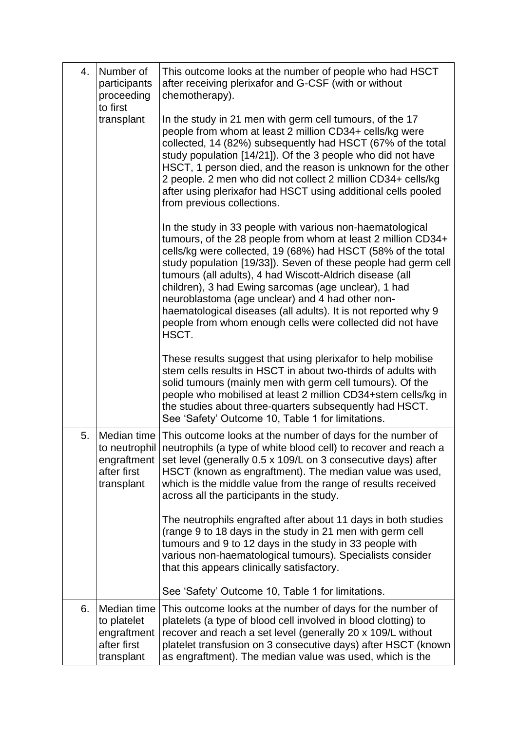| 4. | Number of<br>participants<br>proceeding                                | This outcome looks at the number of people who had HSCT<br>after receiving plerixafor and G-CSF (with or without<br>chemotherapy).                                                                                                                                                                                                                                                                                                                                                                                                                                          |
|----|------------------------------------------------------------------------|-----------------------------------------------------------------------------------------------------------------------------------------------------------------------------------------------------------------------------------------------------------------------------------------------------------------------------------------------------------------------------------------------------------------------------------------------------------------------------------------------------------------------------------------------------------------------------|
|    | to first<br>transplant                                                 | In the study in 21 men with germ cell tumours, of the 17<br>people from whom at least 2 million CD34+ cells/kg were<br>collected, 14 (82%) subsequently had HSCT (67% of the total<br>study population [14/21]). Of the 3 people who did not have<br>HSCT, 1 person died, and the reason is unknown for the other<br>2 people. 2 men who did not collect 2 million CD34+ cells/kg<br>after using plerixafor had HSCT using additional cells pooled<br>from previous collections.                                                                                            |
|    |                                                                        | In the study in 33 people with various non-haematological<br>tumours, of the 28 people from whom at least 2 million CD34+<br>cells/kg were collected, 19 (68%) had HSCT (58% of the total<br>study population [19/33]). Seven of these people had germ cell<br>tumours (all adults), 4 had Wiscott-Aldrich disease (all<br>children), 3 had Ewing sarcomas (age unclear), 1 had<br>neuroblastoma (age unclear) and 4 had other non-<br>haematological diseases (all adults). It is not reported why 9<br>people from whom enough cells were collected did not have<br>HSCT. |
|    |                                                                        | These results suggest that using plerixafor to help mobilise<br>stem cells results in HSCT in about two-thirds of adults with<br>solid tumours (mainly men with germ cell tumours). Of the<br>people who mobilised at least 2 million CD34+stem cells/kg in<br>the studies about three-quarters subsequently had HSCT.<br>See 'Safety' Outcome 10, Table 1 for limitations.                                                                                                                                                                                                 |
| 5. | engraftment<br>after first<br>transplant                               | Median time This outcome looks at the number of days for the number of<br>to neutrophil neutrophils (a type of white blood cell) to recover and reach a<br>set level (generally 0.5 x 109/L on 3 consecutive days) after<br>HSCT (known as engraftment). The median value was used,<br>which is the middle value from the range of results received<br>across all the participants in the study.                                                                                                                                                                            |
|    |                                                                        | The neutrophils engrafted after about 11 days in both studies<br>(range 9 to 18 days in the study in 21 men with germ cell<br>tumours and 9 to 12 days in the study in 33 people with<br>various non-haematological tumours). Specialists consider<br>that this appears clinically satisfactory.<br>See 'Safety' Outcome 10, Table 1 for limitations.                                                                                                                                                                                                                       |
| 6. | Median time<br>to platelet<br>engraftment<br>after first<br>transplant | This outcome looks at the number of days for the number of<br>platelets (a type of blood cell involved in blood clotting) to<br>recover and reach a set level (generally 20 x 109/L without<br>platelet transfusion on 3 consecutive days) after HSCT (known<br>as engraftment). The median value was used, which is the                                                                                                                                                                                                                                                    |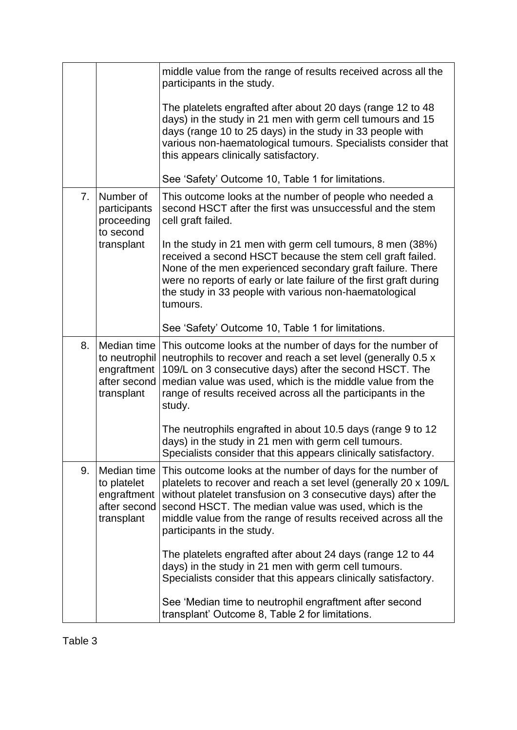|                |                                                                           | middle value from the range of results received across all the<br>participants in the study.                                                                                                                                                                                                                                                            |
|----------------|---------------------------------------------------------------------------|---------------------------------------------------------------------------------------------------------------------------------------------------------------------------------------------------------------------------------------------------------------------------------------------------------------------------------------------------------|
|                |                                                                           | The platelets engrafted after about 20 days (range 12 to 48<br>days) in the study in 21 men with germ cell tumours and 15<br>days (range 10 to 25 days) in the study in 33 people with<br>various non-haematological tumours. Specialists consider that<br>this appears clinically satisfactory.                                                        |
|                |                                                                           | See 'Safety' Outcome 10, Table 1 for limitations.                                                                                                                                                                                                                                                                                                       |
| 7 <sub>1</sub> | Number of<br>participants<br>proceeding<br>to second                      | This outcome looks at the number of people who needed a<br>second HSCT after the first was unsuccessful and the stem<br>cell graft failed.                                                                                                                                                                                                              |
|                | transplant                                                                | In the study in 21 men with germ cell tumours, 8 men (38%)<br>received a second HSCT because the stem cell graft failed.<br>None of the men experienced secondary graft failure. There<br>were no reports of early or late failure of the first graft during<br>the study in 33 people with various non-haematological<br>tumours.                      |
|                |                                                                           | See 'Safety' Outcome 10, Table 1 for limitations.                                                                                                                                                                                                                                                                                                       |
| 8.             | Median time<br>to neutrophil<br>engraftment<br>after second<br>transplant | This outcome looks at the number of days for the number of<br>neutrophils to recover and reach a set level (generally 0.5 x<br>109/L on 3 consecutive days) after the second HSCT. The<br>median value was used, which is the middle value from the<br>range of results received across all the participants in the<br>study.                           |
|                |                                                                           | The neutrophils engrafted in about 10.5 days (range 9 to 12<br>days) in the study in 21 men with germ cell tumours.<br>Specialists consider that this appears clinically satisfactory.                                                                                                                                                                  |
| 9.             | Median time<br>to platelet<br>engraftment<br>after second<br>transplant   | This outcome looks at the number of days for the number of<br>platelets to recover and reach a set level (generally 20 x 109/L<br>without platelet transfusion on 3 consecutive days) after the<br>second HSCT. The median value was used, which is the<br>middle value from the range of results received across all the<br>participants in the study. |
|                |                                                                           | The platelets engrafted after about 24 days (range 12 to 44<br>days) in the study in 21 men with germ cell tumours.<br>Specialists consider that this appears clinically satisfactory.                                                                                                                                                                  |
|                |                                                                           | See 'Median time to neutrophil engraftment after second<br>transplant' Outcome 8, Table 2 for limitations.                                                                                                                                                                                                                                              |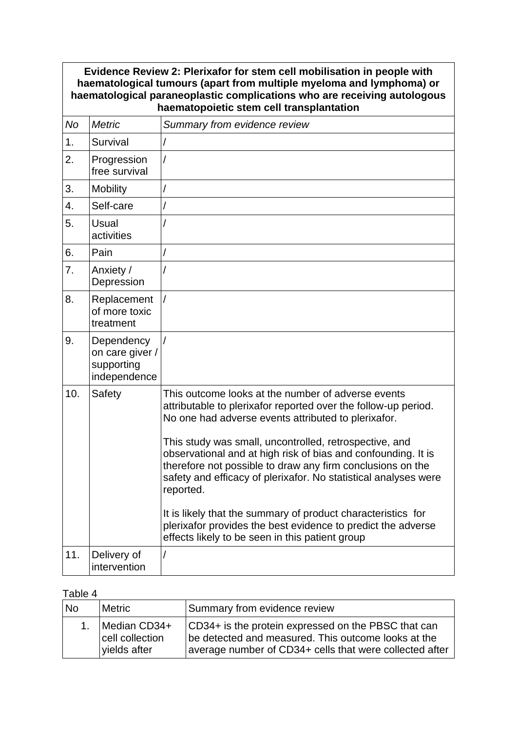### **Evidence Review 2: Plerixafor for stem cell mobilisation in people with haematological tumours (apart from multiple myeloma and lymphoma) or haematological paraneoplastic complications who are receiving autologous haematopoietic stem cell transplantation** *No Metric Summary from evidence review* 1. Survival 2. Progression free survival / 3. Mobility / 4. Self-care / 5. Usual activities / 6. Pain / 7. Anxiety / **Depression** / 8. Replacement of more toxic treatment / 9. Dependency on care giver / supporting independence / 10. Safety This outcome looks at the number of adverse events attributable to plerixafor reported over the follow-up period. No one had adverse events attributed to plerixafor. This study was small, uncontrolled, retrospective, and observational and at high risk of bias and confounding. It is therefore not possible to draw any firm conclusions on the safety and efficacy of plerixafor. No statistical analyses were reported. It is likely that the summary of product characteristics for plerixafor provides the best evidence to predict the adverse effects likely to be seen in this patient group 11. Delivery of intervention /

### Table 4

| <b>No</b> | Metric                                          | Summary from evidence review                                                                                                                                          |
|-----------|-------------------------------------------------|-----------------------------------------------------------------------------------------------------------------------------------------------------------------------|
| 1.        | Median CD34+<br>cell collection<br>vields after | CD34+ is the protein expressed on the PBSC that can<br>be detected and measured. This outcome looks at the<br>average number of CD34+ cells that were collected after |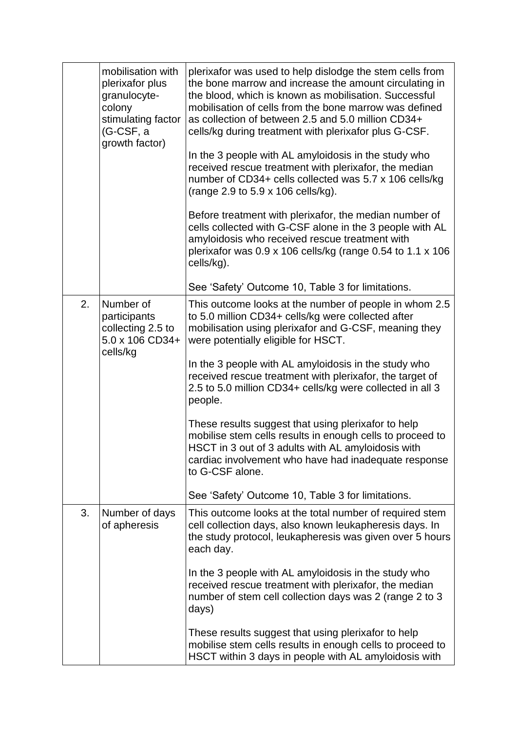|    | mobilisation with<br>plerixafor plus<br>granulocyte-<br>colony<br>stimulating factor<br>(G-CSF, a<br>growth factor) | plerixafor was used to help dislodge the stem cells from<br>the bone marrow and increase the amount circulating in<br>the blood, which is known as mobilisation. Successful<br>mobilisation of cells from the bone marrow was defined<br>as collection of between 2.5 and 5.0 million CD34+<br>cells/kg during treatment with plerixafor plus G-CSF.<br>In the 3 people with AL amyloidosis in the study who<br>received rescue treatment with plerixafor, the median<br>number of CD34+ cells collected was 5.7 x 106 cells/kg<br>(range 2.9 to 5.9 x 106 cells/kg).<br>Before treatment with plerixafor, the median number of<br>cells collected with G-CSF alone in the 3 people with AL<br>amyloidosis who received rescue treatment with<br>plerixafor was $0.9 \times 106$ cells/kg (range 0.54 to 1.1 x 106<br>cells/kg).<br>See 'Safety' Outcome 10, Table 3 for limitations. |
|----|---------------------------------------------------------------------------------------------------------------------|---------------------------------------------------------------------------------------------------------------------------------------------------------------------------------------------------------------------------------------------------------------------------------------------------------------------------------------------------------------------------------------------------------------------------------------------------------------------------------------------------------------------------------------------------------------------------------------------------------------------------------------------------------------------------------------------------------------------------------------------------------------------------------------------------------------------------------------------------------------------------------------|
| 2. | Number of<br>participants<br>collecting 2.5 to<br>5.0 x 106 CD34+<br>cells/kg                                       | This outcome looks at the number of people in whom 2.5<br>to 5.0 million CD34+ cells/kg were collected after<br>mobilisation using plerixafor and G-CSF, meaning they<br>were potentially eligible for HSCT.<br>In the 3 people with AL amyloidosis in the study who<br>received rescue treatment with plerixafor, the target of<br>2.5 to 5.0 million CD34+ cells/kg were collected in all 3<br>people.<br>These results suggest that using plerixafor to help<br>mobilise stem cells results in enough cells to proceed to<br>HSCT in 3 out of 3 adults with AL amyloidosis with<br>cardiac involvement who have had inadequate response<br>to G-CSF alone.<br>See 'Safety' Outcome 10, Table 3 for limitations.                                                                                                                                                                    |
| 3. | Number of days<br>of apheresis                                                                                      | This outcome looks at the total number of required stem<br>cell collection days, also known leukapheresis days. In<br>the study protocol, leukapheresis was given over 5 hours<br>each day.<br>In the 3 people with AL amyloidosis in the study who<br>received rescue treatment with plerixafor, the median<br>number of stem cell collection days was 2 (range 2 to 3<br>days)<br>These results suggest that using plerixafor to help<br>mobilise stem cells results in enough cells to proceed to<br>HSCT within 3 days in people with AL amyloidosis with                                                                                                                                                                                                                                                                                                                         |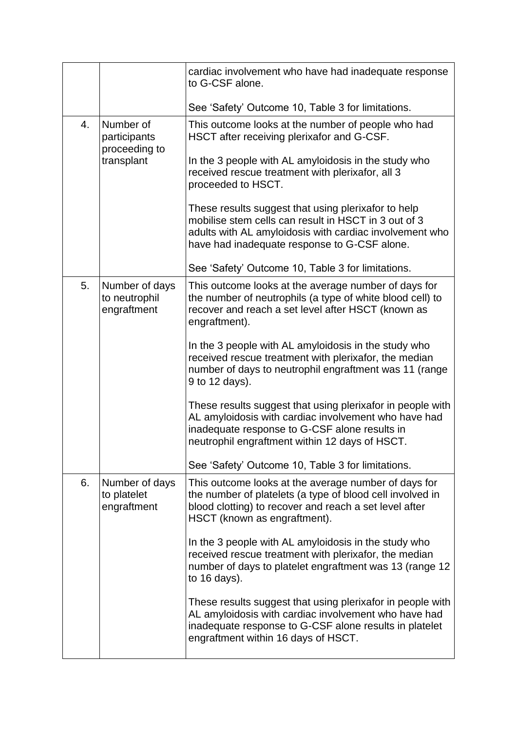|    |                                                          | cardiac involvement who have had inadequate response<br>to G-CSF alone.                                                                                                                                                |
|----|----------------------------------------------------------|------------------------------------------------------------------------------------------------------------------------------------------------------------------------------------------------------------------------|
|    |                                                          | See 'Safety' Outcome 10, Table 3 for limitations.                                                                                                                                                                      |
| 4. | Number of<br>participants<br>proceeding to<br>transplant | This outcome looks at the number of people who had<br>HSCT after receiving plerixafor and G-CSF.                                                                                                                       |
|    |                                                          | In the 3 people with AL amyloidosis in the study who<br>received rescue treatment with plerixafor, all 3<br>proceeded to HSCT.                                                                                         |
|    |                                                          | These results suggest that using plerixafor to help<br>mobilise stem cells can result in HSCT in 3 out of 3<br>adults with AL amyloidosis with cardiac involvement who<br>have had inadequate response to G-CSF alone. |
|    |                                                          | See 'Safety' Outcome 10, Table 3 for limitations.                                                                                                                                                                      |
| 5. | Number of days<br>to neutrophil<br>engraftment           | This outcome looks at the average number of days for<br>the number of neutrophils (a type of white blood cell) to<br>recover and reach a set level after HSCT (known as<br>engraftment).                               |
|    |                                                          | In the 3 people with AL amyloidosis in the study who<br>received rescue treatment with plerixafor, the median<br>number of days to neutrophil engraftment was 11 (range<br>9 to 12 days).                              |
|    |                                                          | These results suggest that using plerixafor in people with<br>AL amyloidosis with cardiac involvement who have had<br>inadequate response to G-CSF alone results in<br>neutrophil engraftment within 12 days of HSCT.  |
|    |                                                          | See 'Safety' Outcome 10, Table 3 for limitations.                                                                                                                                                                      |
| 6. | Number of days<br>to platelet<br>engraftment             | This outcome looks at the average number of days for<br>the number of platelets (a type of blood cell involved in<br>blood clotting) to recover and reach a set level after<br>HSCT (known as engraftment).            |
|    |                                                          | In the 3 people with AL amyloidosis in the study who<br>received rescue treatment with plerixafor, the median<br>number of days to platelet engraftment was 13 (range 12<br>to 16 days).                               |
|    |                                                          | These results suggest that using plerixafor in people with<br>AL amyloidosis with cardiac involvement who have had<br>inadequate response to G-CSF alone results in platelet<br>engraftment within 16 days of HSCT.    |